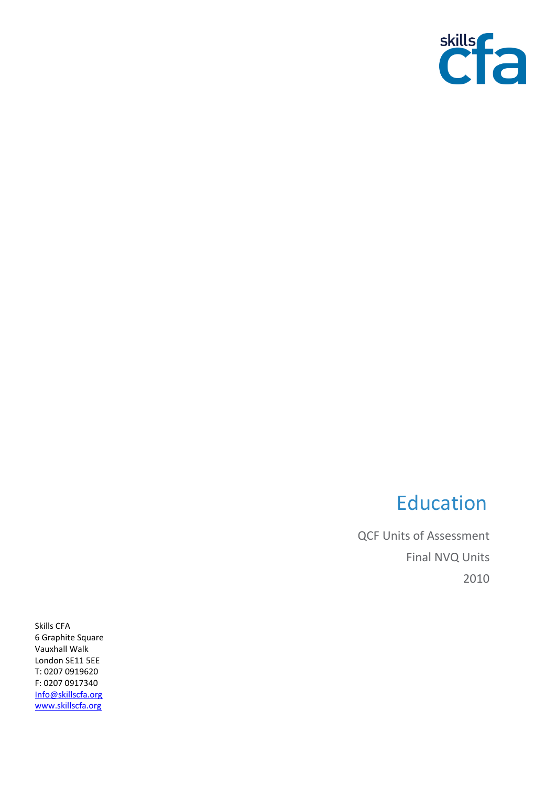

## Education

QCF Units of Assessment Final NVQ Units 2010

Skills CFA 6 Graphite Square Vauxhall Walk London SE11 5EE T: 0207 0919620 F: 0207 0917340 [Info@skillscfa.org](mailto:Info@skillscfa.org) [www.skillscfa.org](http://www.skillscfa.org/)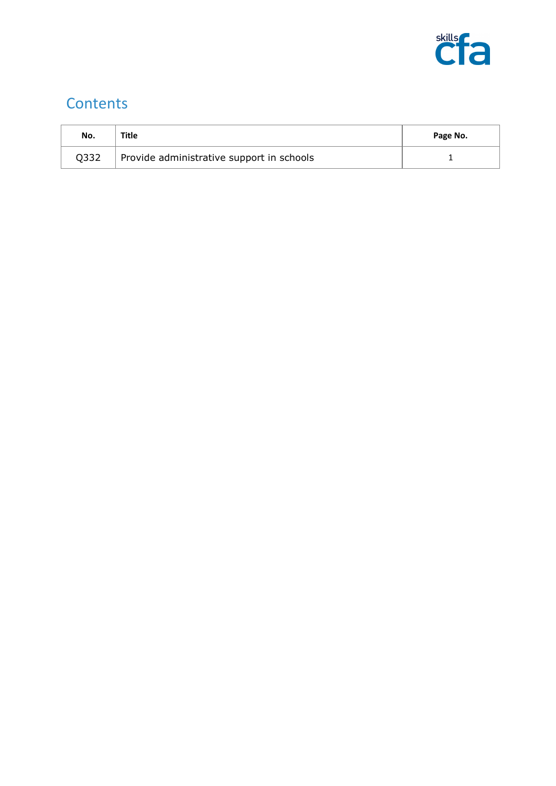

## **Contents**

| No.  | Title                                     | Page No. |
|------|-------------------------------------------|----------|
| Q332 | Provide administrative support in schools |          |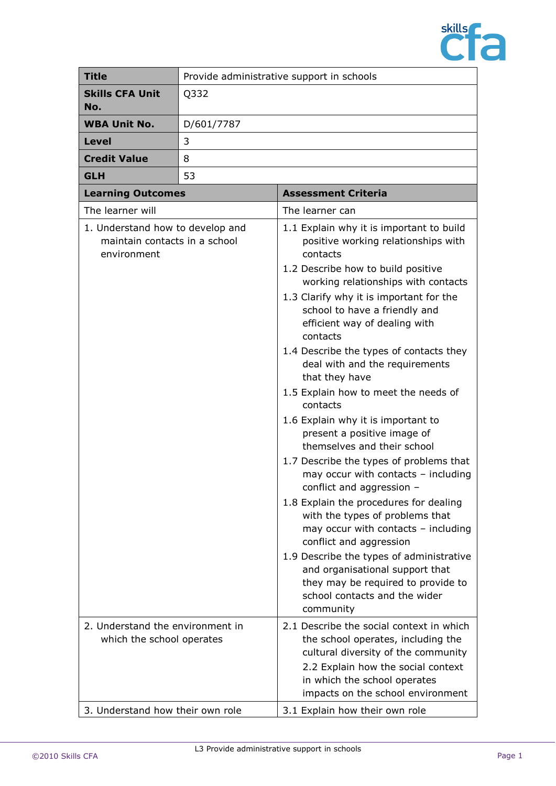

| <b>Title</b>                                                                     | Provide administrative support in schools |                                                                                                                                                                                                                                                                                                                                                                                                                                                                                                                                                                                                                                                                                                                                                                                                                                                                                                                                                                                           |  |
|----------------------------------------------------------------------------------|-------------------------------------------|-------------------------------------------------------------------------------------------------------------------------------------------------------------------------------------------------------------------------------------------------------------------------------------------------------------------------------------------------------------------------------------------------------------------------------------------------------------------------------------------------------------------------------------------------------------------------------------------------------------------------------------------------------------------------------------------------------------------------------------------------------------------------------------------------------------------------------------------------------------------------------------------------------------------------------------------------------------------------------------------|--|
| <b>Skills CFA Unit</b><br>No.                                                    | Q332                                      |                                                                                                                                                                                                                                                                                                                                                                                                                                                                                                                                                                                                                                                                                                                                                                                                                                                                                                                                                                                           |  |
| <b>WBA Unit No.</b>                                                              | D/601/7787                                |                                                                                                                                                                                                                                                                                                                                                                                                                                                                                                                                                                                                                                                                                                                                                                                                                                                                                                                                                                                           |  |
| Level                                                                            | 3                                         |                                                                                                                                                                                                                                                                                                                                                                                                                                                                                                                                                                                                                                                                                                                                                                                                                                                                                                                                                                                           |  |
| <b>Credit Value</b>                                                              | 8                                         |                                                                                                                                                                                                                                                                                                                                                                                                                                                                                                                                                                                                                                                                                                                                                                                                                                                                                                                                                                                           |  |
| <b>GLH</b>                                                                       | 53                                        |                                                                                                                                                                                                                                                                                                                                                                                                                                                                                                                                                                                                                                                                                                                                                                                                                                                                                                                                                                                           |  |
| <b>Learning Outcomes</b>                                                         |                                           | <b>Assessment Criteria</b>                                                                                                                                                                                                                                                                                                                                                                                                                                                                                                                                                                                                                                                                                                                                                                                                                                                                                                                                                                |  |
| The learner will                                                                 |                                           | The learner can                                                                                                                                                                                                                                                                                                                                                                                                                                                                                                                                                                                                                                                                                                                                                                                                                                                                                                                                                                           |  |
| 1. Understand how to develop and<br>maintain contacts in a school<br>environment |                                           | 1.1 Explain why it is important to build<br>positive working relationships with<br>contacts<br>1.2 Describe how to build positive<br>working relationships with contacts<br>1.3 Clarify why it is important for the<br>school to have a friendly and<br>efficient way of dealing with<br>contacts<br>1.4 Describe the types of contacts they<br>deal with and the requirements<br>that they have<br>1.5 Explain how to meet the needs of<br>contacts<br>1.6 Explain why it is important to<br>present a positive image of<br>themselves and their school<br>1.7 Describe the types of problems that<br>may occur with contacts - including<br>conflict and aggression -<br>1.8 Explain the procedures for dealing<br>with the types of problems that<br>may occur with contacts - including<br>conflict and aggression<br>1.9 Describe the types of administrative<br>and organisational support that<br>they may be required to provide to<br>school contacts and the wider<br>community |  |
| 2. Understand the environment in<br>which the school operates                    |                                           | 2.1 Describe the social context in which<br>the school operates, including the<br>cultural diversity of the community<br>2.2 Explain how the social context<br>in which the school operates<br>impacts on the school environment                                                                                                                                                                                                                                                                                                                                                                                                                                                                                                                                                                                                                                                                                                                                                          |  |
| 3. Understand how their own role                                                 |                                           | 3.1 Explain how their own role                                                                                                                                                                                                                                                                                                                                                                                                                                                                                                                                                                                                                                                                                                                                                                                                                                                                                                                                                            |  |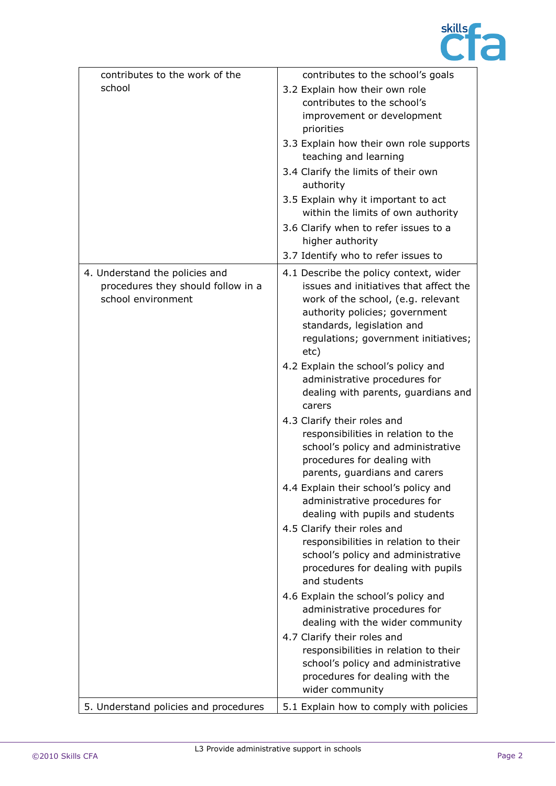

| contributes to the work of the                                                             | contributes to the school's goals                                                                                                                                                                                                      |
|--------------------------------------------------------------------------------------------|----------------------------------------------------------------------------------------------------------------------------------------------------------------------------------------------------------------------------------------|
| school                                                                                     | 3.2 Explain how their own role                                                                                                                                                                                                         |
|                                                                                            | contributes to the school's                                                                                                                                                                                                            |
|                                                                                            | improvement or development<br>priorities                                                                                                                                                                                               |
|                                                                                            | 3.3 Explain how their own role supports<br>teaching and learning                                                                                                                                                                       |
|                                                                                            | 3.4 Clarify the limits of their own<br>authority                                                                                                                                                                                       |
|                                                                                            | 3.5 Explain why it important to act<br>within the limits of own authority                                                                                                                                                              |
|                                                                                            | 3.6 Clarify when to refer issues to a<br>higher authority                                                                                                                                                                              |
|                                                                                            | 3.7 Identify who to refer issues to                                                                                                                                                                                                    |
| 4. Understand the policies and<br>procedures they should follow in a<br>school environment | 4.1 Describe the policy context, wider<br>issues and initiatives that affect the<br>work of the school, (e.g. relevant<br>authority policies; government<br>standards, legislation and<br>regulations; government initiatives;<br>etc) |
|                                                                                            | 4.2 Explain the school's policy and<br>administrative procedures for<br>dealing with parents, guardians and<br>carers                                                                                                                  |
|                                                                                            | 4.3 Clarify their roles and<br>responsibilities in relation to the<br>school's policy and administrative<br>procedures for dealing with<br>parents, guardians and carers                                                               |
|                                                                                            | 4.4 Explain their school's policy and<br>administrative procedures for<br>dealing with pupils and students                                                                                                                             |
|                                                                                            | 4.5 Clarify their roles and                                                                                                                                                                                                            |
|                                                                                            | responsibilities in relation to their<br>school's policy and administrative<br>procedures for dealing with pupils<br>and students                                                                                                      |
|                                                                                            | 4.6 Explain the school's policy and<br>administrative procedures for<br>dealing with the wider community                                                                                                                               |
|                                                                                            | 4.7 Clarify their roles and<br>responsibilities in relation to their<br>school's policy and administrative<br>procedures for dealing with the<br>wider community                                                                       |
| 5. Understand policies and procedures                                                      | 5.1 Explain how to comply with policies                                                                                                                                                                                                |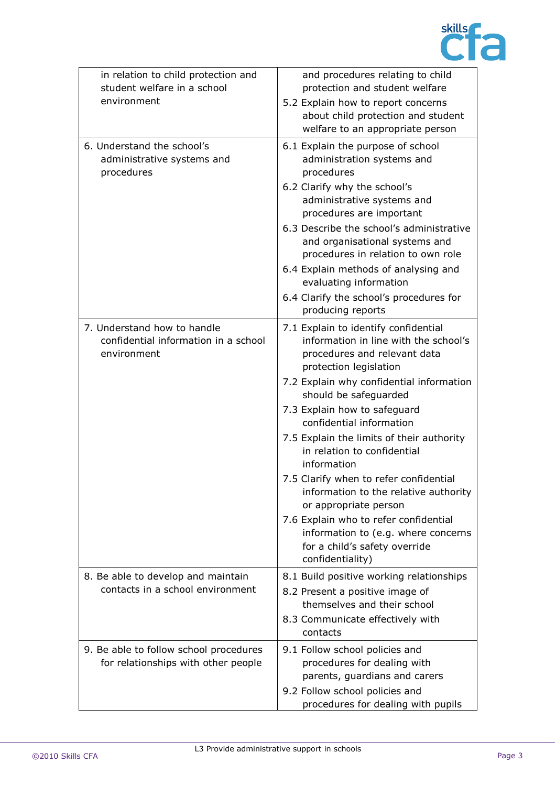

| in relation to child protection and<br>student welfare in a school<br>environment  | and procedures relating to child<br>protection and student welfare<br>5.2 Explain how to report concerns<br>about child protection and student<br>welfare to an appropriate person |
|------------------------------------------------------------------------------------|------------------------------------------------------------------------------------------------------------------------------------------------------------------------------------|
| 6. Understand the school's<br>administrative systems and<br>procedures             | 6.1 Explain the purpose of school<br>administration systems and<br>procedures                                                                                                      |
|                                                                                    | 6.2 Clarify why the school's<br>administrative systems and<br>procedures are important                                                                                             |
|                                                                                    | 6.3 Describe the school's administrative<br>and organisational systems and<br>procedures in relation to own role                                                                   |
|                                                                                    | 6.4 Explain methods of analysing and<br>evaluating information                                                                                                                     |
|                                                                                    | 6.4 Clarify the school's procedures for<br>producing reports                                                                                                                       |
| 7. Understand how to handle<br>confidential information in a school<br>environment | 7.1 Explain to identify confidential<br>information in line with the school's<br>procedures and relevant data<br>protection legislation                                            |
|                                                                                    | 7.2 Explain why confidential information<br>should be safeguarded                                                                                                                  |
|                                                                                    | 7.3 Explain how to safeguard<br>confidential information                                                                                                                           |
|                                                                                    | 7.5 Explain the limits of their authority<br>in relation to confidential<br>information                                                                                            |
|                                                                                    | 7.5 Clarify when to refer confidential<br>information to the relative authority<br>or appropriate person                                                                           |
|                                                                                    | 7.6 Explain who to refer confidential<br>information to (e.g. where concerns<br>for a child's safety override<br>confidentiality)                                                  |
| 8. Be able to develop and maintain<br>contacts in a school environment             | 8.1 Build positive working relationships<br>8.2 Present a positive image of<br>themselves and their school                                                                         |
|                                                                                    | 8.3 Communicate effectively with<br>contacts                                                                                                                                       |
| 9. Be able to follow school procedures<br>for relationships with other people      | 9.1 Follow school policies and<br>procedures for dealing with<br>parents, guardians and carers<br>9.2 Follow school policies and                                                   |
|                                                                                    | procedures for dealing with pupils                                                                                                                                                 |